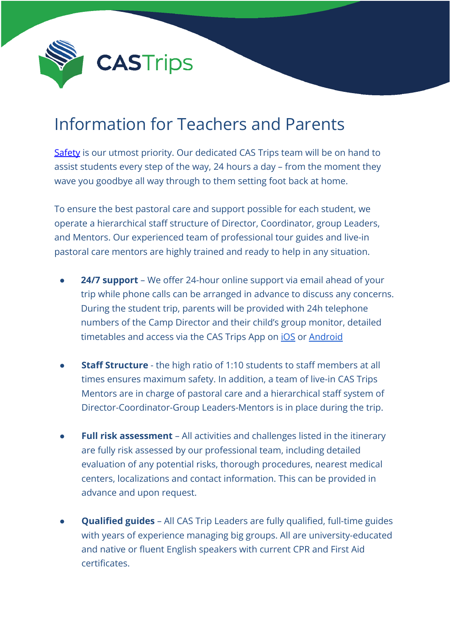

## Information for Teachers and Parents

[Safety](http://107.6.170.122/~castrips/about/safety/) is our utmost priority. Our dedicated CAS Trips team will be on hand to assist students every step of the way, 24 hours a day – from the moment they wave you goodbye all way through to them setting foot back at home.

To ensure the best pastoral care and support possible for each student, we operate a hierarchical staff structure of Director, Coordinator, group Leaders, and Mentors. Our experienced team of professional tour guides and live-in pastoral care mentors are highly trained and ready to help in any situation.

- **24/7 support** We offer 24-hour online support via email ahead of your trip while phone calls can be arranged in advance to discuss any concerns. During the student trip, parents will be provided with 24h telephone numbers of the Camp Director and their child's group monitor, detailed timetables and access via the CAS Trips App on *[iOS](https://apps.apple.com/us/app/cas-trips/id1538854180)* or [Android](https://play.google.com/store/apps/details?id=com.ayge.cas&hl=en_US&gl=US)
- **Staff Structure** the high ratio of 1:10 students to staff members at all times ensures maximum safety. In addition, a team of live-in CAS Trips Mentors are in charge of pastoral care and a hierarchical staff system of Director-Coordinator-Group Leaders-Mentors is in place during the trip.
- **Full risk assessment** All activities and challenges listed in the itinerary are fully risk assessed by our professional team, including detailed evaluation of any potential risks, thorough procedures, nearest medical centers, localizations and contact information. This can be provided in advance and upon request.
- **Qualified guides** All CAS Trip Leaders are fully qualified, full-time guides with years of experience managing big groups. All are university-educated and native or fluent English speakers with current CPR and First Aid certificates.